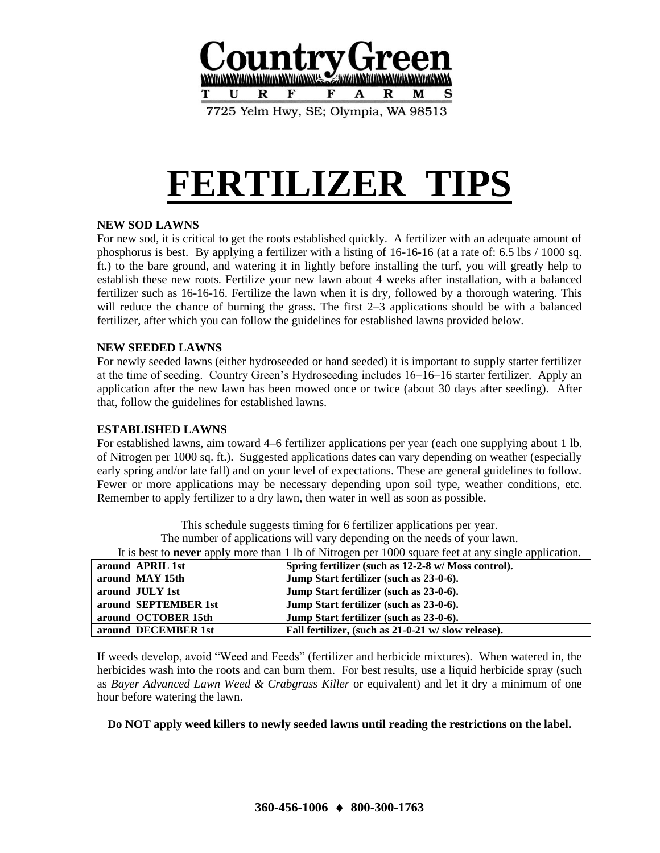

7725 Yelm Hwy, SE; Olympia, WA 98513

# **FERTILIZER TIPS**

## **NEW SOD LAWNS**

For new sod, it is critical to get the roots established quickly. A fertilizer with an adequate amount of phosphorus is best. By applying a fertilizer with a listing of 16-16-16 (at a rate of: 6.5 lbs / 1000 sq. ft.) to the bare ground, and watering it in lightly before installing the turf, you will greatly help to establish these new roots. Fertilize your new lawn about 4 weeks after installation, with a balanced fertilizer such as 16-16-16. Fertilize the lawn when it is dry, followed by a thorough watering. This will reduce the chance of burning the grass. The first 2–3 applications should be with a balanced fertilizer, after which you can follow the guidelines for established lawns provided below.

## **NEW SEEDED LAWNS**

For newly seeded lawns (either hydroseeded or hand seeded) it is important to supply starter fertilizer at the time of seeding. Country Green's Hydroseeding includes 16–16–16 starter fertilizer. Apply an application after the new lawn has been mowed once or twice (about 30 days after seeding). After that, follow the guidelines for established lawns.

## **ESTABLISHED LAWNS**

For established lawns, aim toward 4–6 fertilizer applications per year (each one supplying about 1 lb. of Nitrogen per 1000 sq. ft.). Suggested applications dates can vary depending on weather (especially early spring and/or late fall) and on your level of expectations. These are general guidelines to follow. Fewer or more applications may be necessary depending upon soil type, weather conditions, etc. Remember to apply fertilizer to a dry lawn, then water in well as soon as possible.

> This schedule suggests timing for 6 fertilizer applications per year. The number of applications will vary depending on the needs of your lawn.

It is best to **never** apply more than 1 lb of Nitrogen per 1000 square feet at any single application.

| around APRIL 1st     | Spring fertilizer (such as 12-2-8 w/ Moss control). |
|----------------------|-----------------------------------------------------|
| around MAY 15th      | Jump Start fertilizer (such as 23-0-6).             |
| around JULY 1st      | Jump Start fertilizer (such as 23-0-6).             |
| around SEPTEMBER 1st | Jump Start fertilizer (such as 23-0-6).             |
| around OCTOBER 15th  | Jump Start fertilizer (such as 23-0-6).             |
| around DECEMBER 1st  | Fall fertilizer, (such as 21-0-21 w/slow release).  |
|                      |                                                     |

If weeds develop, avoid "Weed and Feeds" (fertilizer and herbicide mixtures). When watered in, the herbicides wash into the roots and can burn them. For best results, use a liquid herbicide spray (such as *Bayer Advanced Lawn Weed & Crabgrass Killer* or equivalent) and let it dry a minimum of one hour before watering the lawn.

## **Do NOT apply weed killers to newly seeded lawns until reading the restrictions on the label.**